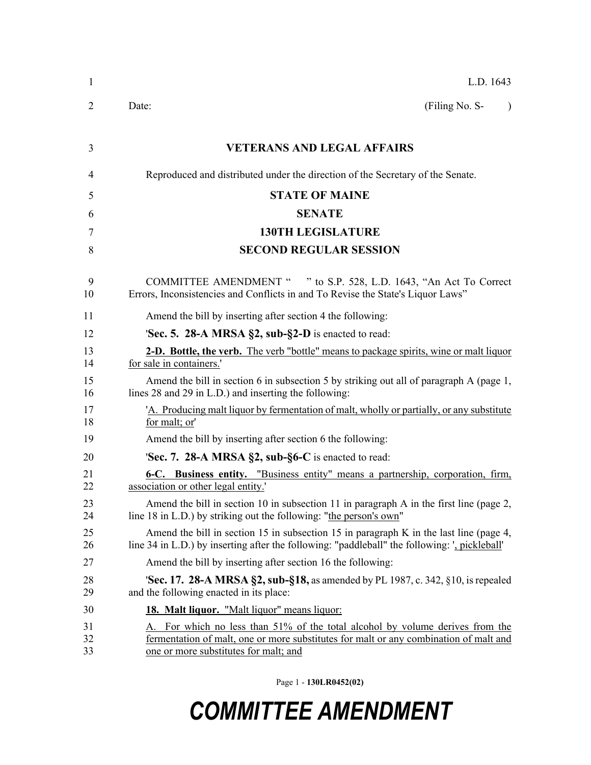| 1              | L.D. 1643                                                                                                                                                                                                    |
|----------------|--------------------------------------------------------------------------------------------------------------------------------------------------------------------------------------------------------------|
| 2              | (Filing No. S-<br>Date:<br>$\lambda$                                                                                                                                                                         |
| 3              | <b>VETERANS AND LEGAL AFFAIRS</b>                                                                                                                                                                            |
| 4              | Reproduced and distributed under the direction of the Secretary of the Senate.                                                                                                                               |
| 5              | <b>STATE OF MAINE</b>                                                                                                                                                                                        |
| 6              | <b>SENATE</b>                                                                                                                                                                                                |
| 7              | <b>130TH LEGISLATURE</b>                                                                                                                                                                                     |
| 8              | <b>SECOND REGULAR SESSION</b>                                                                                                                                                                                |
| 9<br>10        | COMMITTEE AMENDMENT " " to S.P. 528, L.D. 1643, "An Act To Correct<br>Errors, Inconsistencies and Conflicts in and To Revise the State's Liquor Laws"                                                        |
| 11             | Amend the bill by inserting after section 4 the following:                                                                                                                                                   |
| 12             | <b>Sec. 5. 28-A MRSA §2, sub-§2-D</b> is enacted to read:                                                                                                                                                    |
| 13<br>14       | <b>2-D. Bottle, the verb.</b> The verb "bottle" means to package spirits, wine or malt liquor<br>for sale in containers.'                                                                                    |
| 15<br>16       | Amend the bill in section 6 in subsection 5 by striking out all of paragraph A (page 1,<br>lines 28 and 29 in L.D.) and inserting the following:                                                             |
| 17<br>18       | 'A. Producing malt liquor by fermentation of malt, wholly or partially, or any substitute<br>for malt; or'                                                                                                   |
| 19             | Amend the bill by inserting after section 6 the following:                                                                                                                                                   |
| 20             | <b>Sec. 7. 28-A MRSA §2, sub-§6-C</b> is enacted to read:                                                                                                                                                    |
| 21<br>22       | 6-C. Business entity. "Business entity" means a partnership, corporation, firm,<br>association or other legal entity.                                                                                        |
| 23<br>24       | Amend the bill in section 10 in subsection 11 in paragraph A in the first line (page 2,<br>line 18 in L.D.) by striking out the following: "the person's own"                                                |
| 25<br>26       | Amend the bill in section 15 in subsection 15 in paragraph K in the last line (page 4,<br>line 34 in L.D.) by inserting after the following: "paddleball" the following: ', pickleball'                      |
| 27             | Amend the bill by inserting after section 16 the following:                                                                                                                                                  |
| 28<br>29       | <b>Sec. 17. 28-A MRSA §2, sub-§18, as amended by PL 1987, c. 342, §10, is repealed</b><br>and the following enacted in its place:                                                                            |
| 30             | 18. Malt liquor. "Malt liquor" means liquor:                                                                                                                                                                 |
| 31<br>32<br>33 | For which no less than 51% of the total alcohol by volume derives from the<br>fermentation of malt, one or more substitutes for malt or any combination of malt and<br>one or more substitutes for malt; and |

Page 1 - **130LR0452(02)**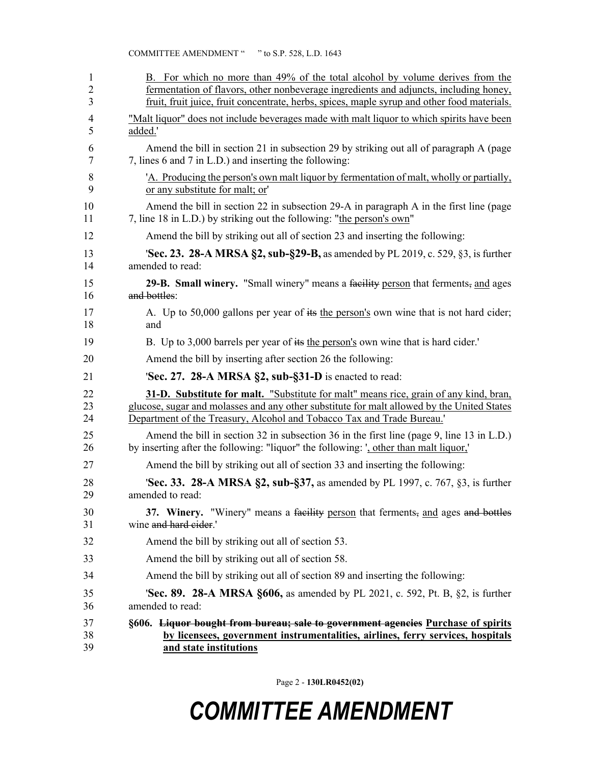| 1  | B. For which no more than 49% of the total alcohol by volume derives from the               |
|----|---------------------------------------------------------------------------------------------|
| 2  | fermentation of flavors, other nonbeverage ingredients and adjuncts, including honey,       |
| 3  | fruit, fruit juice, fruit concentrate, herbs, spices, maple syrup and other food materials. |
| 4  | "Malt liquor" does not include beverages made with malt liquor to which spirits have been   |
| 5  | added.'                                                                                     |
| 6  | Amend the bill in section 21 in subsection 29 by striking out all of paragraph A (page      |
| 7  | 7, lines 6 and 7 in L.D.) and inserting the following:                                      |
| 8  | 'A. Producing the person's own malt liquor by fermentation of malt, wholly or partially,    |
| 9  | or any substitute for malt; or'                                                             |
| 10 | Amend the bill in section 22 in subsection 29-A in paragraph A in the first line (page      |
| 11 | 7, line 18 in L.D.) by striking out the following: "the person's own"                       |
| 12 | Amend the bill by striking out all of section 23 and inserting the following:               |
| 13 | <b>Sec. 23. 28-A MRSA §2, sub-§29-B, as amended by PL 2019, c. 529, §3, is further</b>      |
| 14 | amended to read:                                                                            |
| 15 | 29-B. Small winery. "Small winery" means a facility person that ferments, and ages          |
| 16 | and bottles:                                                                                |
| 17 | A. Up to 50,000 gallons per year of its the person's own wine that is not hard cider;       |
| 18 | and                                                                                         |
| 19 | B. Up to 3,000 barrels per year of its the person's own wine that is hard cider.            |
| 20 | Amend the bill by inserting after section 26 the following:                                 |
| 21 | 'Sec. 27. 28-A MRSA §2, sub-§31-D is enacted to read:                                       |
| 22 | 31-D. Substitute for malt. "Substitute for malt" means rice, grain of any kind, bran,       |
| 23 | glucose, sugar and molasses and any other substitute for malt allowed by the United States  |
| 24 | Department of the Treasury, Alcohol and Tobacco Tax and Trade Bureau.'                      |
| 25 | Amend the bill in section 32 in subsection 36 in the first line (page 9, line 13 in L.D.)   |
| 26 | by inserting after the following: "liquor" the following: ', other than malt liquor,'       |
| 27 | Amend the bill by striking out all of section 33 and inserting the following:               |
| 28 | <b>Sec. 33. 28-A MRSA §2, sub-§37, as amended by PL 1997, c. 767, §3, is further</b>        |
| 29 | amended to read:                                                                            |
| 30 | 37. Winery. "Winery" means a facility person that ferments, and ages and bottles            |
| 31 | wine and hard eider.'                                                                       |
| 32 | Amend the bill by striking out all of section 53.                                           |
| 33 | Amend the bill by striking out all of section 58.                                           |
| 34 | Amend the bill by striking out all of section 89 and inserting the following:               |
| 35 | <b>Sec. 89. 28-A MRSA §606, as amended by PL 2021, c. 592, Pt. B, §2, is further</b>        |
| 36 | amended to read:                                                                            |
| 37 | §606. <del>Liquor bought from bureau; sale to government agencies</del> Purchase of spirits |
| 38 | by licensees, government instrumentalities, airlines, ferry services, hospitals             |
| 39 | and state institutions                                                                      |

Page 2 - **130LR0452(02)**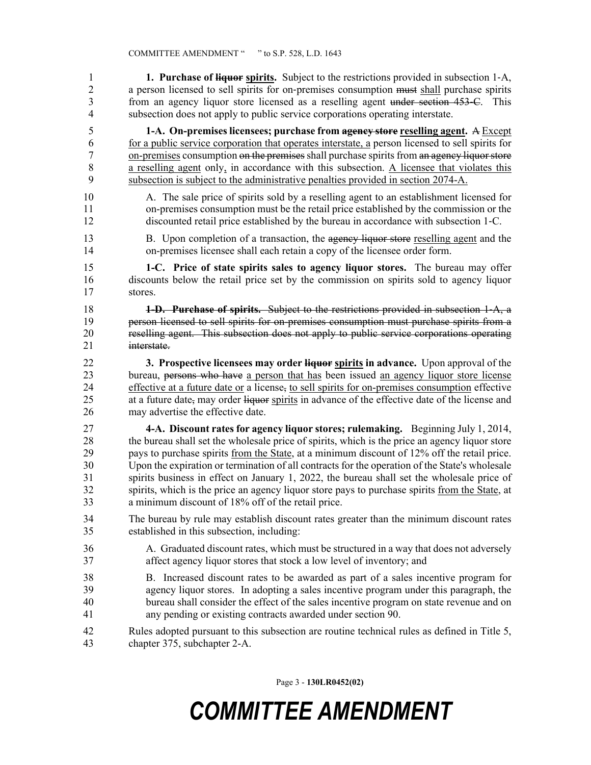1 **1. Purchase of liquor spirits.** Subject to the restrictions provided in subsection 1-A, 2 a person licensed to sell spirits for on-premises consumption must shall purchase spirits 3 from an agency liquor store licensed as a reselling agent under section 453–C. This 4 subsection does not apply to public service corporations operating interstate.

5 **1-A. On-premises licensees; purchase from agency store reselling agent.** A Except 6 for a public service corporation that operates interstate, a person licensed to sell spirits for 7 on-premises consumption on the premises shall purchase spirits from an agency liquor store 8 a reselling agent only, in accordance with this subsection. A licensee that violates this 9 subsection is subject to the administrative penalties provided in section 2074-A.

10 A. The sale price of spirits sold by a reselling agent to an establishment licensed for 11 on-premises consumption must be the retail price established by the commission or the 12 discounted retail price established by the bureau in accordance with subsection 1‑C.

13 B. Upon completion of a transaction, the agency liquor store reselling agent and the 14 on-premises licensee shall each retain a copy of the licensee order form.

15 **1-C. Price of state spirits sales to agency liquor stores.** The bureau may offer 16 discounts below the retail price set by the commission on spirits sold to agency liquor 17 stores.

18 **1-D. Purchase of spirits.** Subject to the restrictions provided in subsection 1‑A, a 19 person licensed to sell spirits for on-premises consumption must purchase spirits from a 20 reselling agent. This subsection does not apply to public service corporations operating 21 interstate.

22 **3. Prospective licensees may order liquor spirits in advance.** Upon approval of the 23 bureau, persons who have a person that has been issued an agency liquor store license 24 effective at a future date or a license, to sell spirits for on-premises consumption effective 25 at a future date, may order liquor spirits in advance of the effective date of the license and 26 may advertise the effective date.

27 **4-A. Discount rates for agency liquor stores; rulemaking.** Beginning July 1, 2014, 28 the bureau shall set the wholesale price of spirits, which is the price an agency liquor store 29 pays to purchase spirits from the State, at a minimum discount of 12% off the retail price. 30 Upon the expiration or termination of all contracts for the operation of the State's wholesale 31 spirits business in effect on January 1, 2022, the bureau shall set the wholesale price of 32 spirits, which is the price an agency liquor store pays to purchase spirits from the State, at 33 a minimum discount of 18% off of the retail price.

- 34 The bureau by rule may establish discount rates greater than the minimum discount rates 35 established in this subsection, including:
- 36 A. Graduated discount rates, which must be structured in a way that does not adversely 37 affect agency liquor stores that stock a low level of inventory; and
- 38 B. Increased discount rates to be awarded as part of a sales incentive program for 39 agency liquor stores. In adopting a sales incentive program under this paragraph, the 40 bureau shall consider the effect of the sales incentive program on state revenue and on 41 any pending or existing contracts awarded under section 90.
- 42 Rules adopted pursuant to this subsection are routine technical rules as defined in Title 5, 43 chapter 375, subchapter 2-A.

Page 3 - **130LR0452(02)**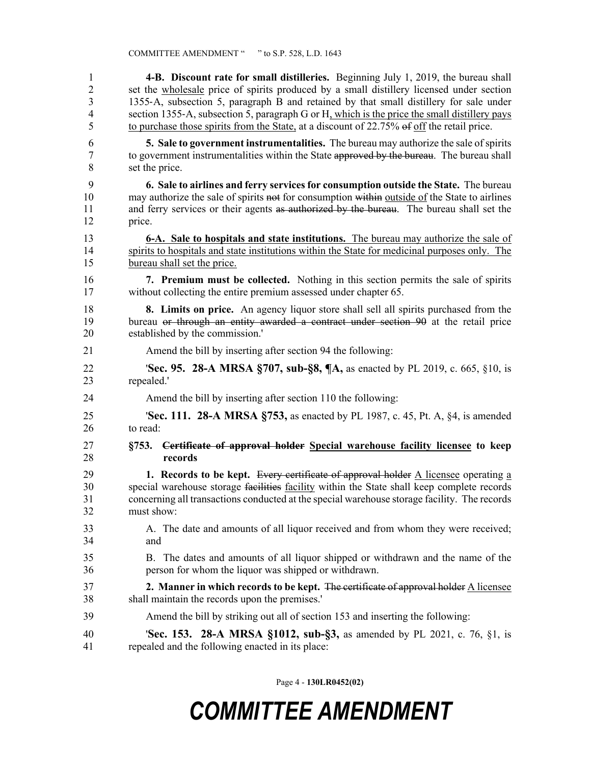1 **4-B. Discount rate for small distilleries.** Beginning July 1, 2019, the bureau shall 2 set the wholesale price of spirits produced by a small distillery licensed under section 3 1355‑A, subsection 5, paragraph B and retained by that small distillery for sale under 4 section 1355‑A, subsection 5, paragraph G or H, which is the price the small distillery pays 5 to purchase those spirits from the State, at a discount of 22.75% of off the retail price. 6 **5. Sale to government instrumentalities.** The bureau may authorize the sale of spirits 7 to government instrumentalities within the State approved by the bureau. The bureau shall 8 set the price. 9 **6. Sale to airlines and ferry services for consumption outside the State.** The bureau 10 may authorize the sale of spirits not for consumption within <u>outside of</u> the State to airlines 11 and ferry services or their agents as authorized by the bureau. The bureau shall set the 12 price. 13 **6-A. Sale to hospitals and state institutions.** The bureau may authorize the sale of 14 spirits to hospitals and state institutions within the State for medicinal purposes only. The 15 bureau shall set the price. 16 **7. Premium must be collected.** Nothing in this section permits the sale of spirits 17 without collecting the entire premium assessed under chapter 65. 18 **8. Limits on price.** An agency liquor store shall sell all spirits purchased from the 19 bureau or through an entity awarded a contract under section 90 at the retail price 20 established by the commission.' 21 Amend the bill by inserting after section 94 the following: 22 '**Sec. 95. 28-A MRSA §707, sub-§8, ¶A,** as enacted by PL 2019, c. 665, §10, is 23 repealed.' 24 Amend the bill by inserting after section 110 the following: 25 '**Sec. 111. 28-A MRSA §753,** as enacted by PL 1987, c. 45, Pt. A, §4, is amended 26 to read: 27 **§753. Certificate of approval holder Special warehouse facility licensee to keep**  28 **records** 29 **1. Records to be kept.** Every certificate of approval holder A licensee operating a 30 special warehouse storage facilities facility within the State shall keep complete records 31 concerning all transactions conducted at the special warehouse storage facility. The records 32 must show: 33 A. The date and amounts of all liquor received and from whom they were received; 34 and 35 B. The dates and amounts of all liquor shipped or withdrawn and the name of the 36 person for whom the liquor was shipped or withdrawn. 37 **2. Manner in which records to be kept.** The certificate of approval holder A licensee 38 shall maintain the records upon the premises.' 39 Amend the bill by striking out all of section 153 and inserting the following: 40 '**Sec. 153. 28-A MRSA §1012, sub-§3,** as amended by PL 2021, c. 76, §1, is 41 repealed and the following enacted in its place:

Page 4 - **130LR0452(02)**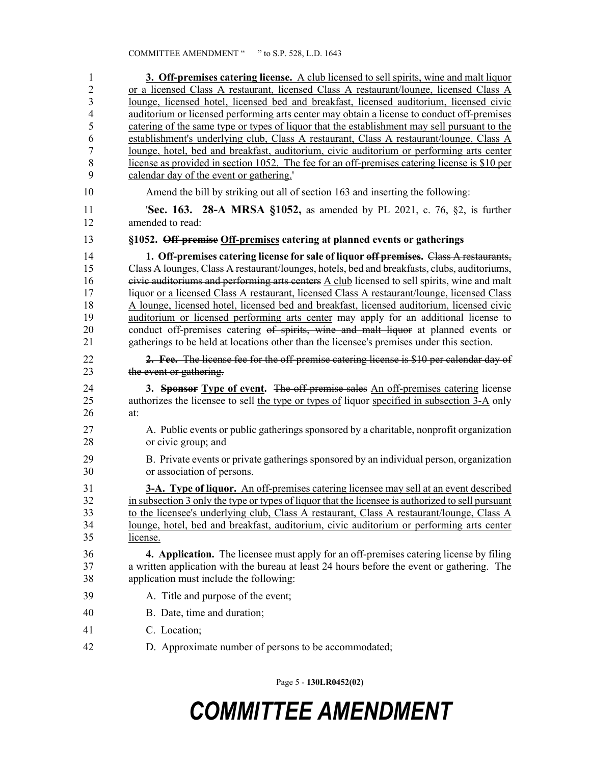| $\mathbf{1}$            | 3. Off-premises catering license. A club licensed to sell spirits, wine and malt liquor                    |
|-------------------------|------------------------------------------------------------------------------------------------------------|
| $\overline{c}$          | or a licensed Class A restaurant, licensed Class A restaurant/lounge, licensed Class A                     |
| $\overline{\mathbf{3}}$ | lounge, licensed hotel, licensed bed and breakfast, licensed auditorium, licensed civic                    |
| $\overline{4}$          | auditorium or licensed performing arts center may obtain a license to conduct off-premises                 |
| 5                       | catering of the same type or types of liquor that the establishment may sell pursuant to the               |
| 6                       | establishment's underlying club, Class A restaurant, Class A restaurant/lounge, Class A                    |
| $\overline{7}$          | lounge, hotel, bed and breakfast, auditorium, civic auditorium or performing arts center                   |
| 8                       | license as provided in section 1052. The fee for an off-premises catering license is \$10 per              |
| 9                       | calendar day of the event or gathering.                                                                    |
| 10                      | Amend the bill by striking out all of section 163 and inserting the following:                             |
| 11<br>12                | <b>Sec. 163. 28-A MRSA §1052, as amended by PL 2021, c. 76, §2, is further</b><br>amended to read:         |
|                         |                                                                                                            |
| 13                      | §1052. Off-premise Off-premises catering at planned events or gatherings                                   |
| 14                      | 1. Off-premises catering license for sale of liquor off premises. Class A restaurants,                     |
| 15                      | Class A lounges, Class A restaurant/lounges, hotels, bed and breakfasts, clubs, auditoriums,               |
| 16                      | eivic auditoriums and performing arts centers $\underline{A}$ club licensed to sell spirits, wine and malt |
| 17                      | liquor or a licensed Class A restaurant, licensed Class A restaurant/lounge, licensed Class                |
| 18                      | A lounge, licensed hotel, licensed bed and breakfast, licensed auditorium, licensed civic                  |
| 19                      | auditorium or licensed performing arts center may apply for an additional license to                       |
| 20                      | conduct off-premises catering of spirits, wine and malt liquor at planned events or                        |
| 21                      | gatherings to be held at locations other than the licensee's premises under this section.                  |
| 22                      | 2. Fee. The license fee for the off-premise catering license is \$10 per calendar day of                   |
| 23                      | the event or gathering.                                                                                    |
| 24                      | 3. Sponsor Type of event. The off-premise sales An off-premises catering license                           |
| 25                      | authorizes the licensee to sell the type or types of liquor specified in subsection 3-A only               |
| 26                      | at:                                                                                                        |
| 27                      | A. Public events or public gatherings sponsored by a charitable, nonprofit organization                    |
| 28                      | or civic group; and                                                                                        |
| 29                      | B. Private events or private gatherings sponsored by an individual person, organization                    |
| 30                      | or association of persons.                                                                                 |
| 31                      | 3-A. Type of liquor. An off-premises catering licensee may sell at an event described                      |
| 32                      | in subsection 3 only the type or types of liquor that the licensee is authorized to sell pursuant          |
| 33                      | to the licensee's underlying club, Class A restaurant, Class A restaurant/lounge, Class A                  |
| 34                      | lounge, hotel, bed and breakfast, auditorium, civic auditorium or performing arts center                   |
| 35                      | license.                                                                                                   |
|                         |                                                                                                            |
| 36                      | <b>4. Application.</b> The licensee must apply for an off-premises catering license by filing              |
| 37                      | a written application with the bureau at least 24 hours before the event or gathering. The                 |
| 38                      | application must include the following:                                                                    |
| 39                      | A. Title and purpose of the event;                                                                         |
| 40                      | B. Date, time and duration;                                                                                |
| 41                      | C. Location;                                                                                               |
| 42                      | D. Approximate number of persons to be accommodated;                                                       |

Page 5 - **130LR0452(02)**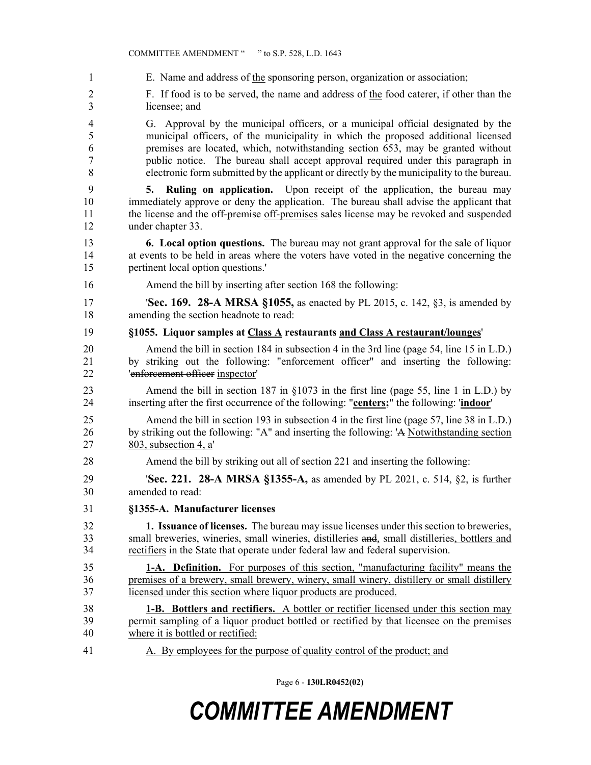1 E. Name and address of the sponsoring person, organization or association;

2 F. If food is to be served, the name and address of the food caterer, if other than the 3 licensee; and

4 G. Approval by the municipal officers, or a municipal official designated by the 5 municipal officers, of the municipality in which the proposed additional licensed 6 premises are located, which, notwithstanding section 653, may be granted without 7 public notice. The bureau shall accept approval required under this paragraph in 8 electronic form submitted by the applicant or directly by the municipality to the bureau.

9 **5. Ruling on application.** Upon receipt of the application, the bureau may 10 immediately approve or deny the application. The bureau shall advise the applicant that 11 the license and the off-premise off-premises sales license may be revoked and suspended 12 under chapter 33.

13 **6. Local option questions.** The bureau may not grant approval for the sale of liquor 14 at events to be held in areas where the voters have voted in the negative concerning the 15 pertinent local option questions.'

16 Amend the bill by inserting after section 168 the following:

17 '**Sec. 169. 28-A MRSA §1055,** as enacted by PL 2015, c. 142, §3, is amended by 18 amending the section headnote to read:

19 **§1055. Liquor samples at Class A restaurants and Class A restaurant/lounges**'

20 Amend the bill in section 184 in subsection 4 in the 3rd line (page 54, line 15 in L.D.) 21 by striking out the following: "enforcement officer" and inserting the following: 22 'enforcement officer inspector'

23 Amend the bill in section 187 in §1073 in the first line (page 55, line 1 in L.D.) by 24 inserting after the first occurrence of the following: "**centers;**" the following: '**indoor**'

25 Amend the bill in section 193 in subsection 4 in the first line (page 57, line 38 in L.D.) 26 by striking out the following: "A" and inserting the following: 'A Notwithstanding section 27 803, subsection 4, a'

28 Amend the bill by striking out all of section 221 and inserting the following:

29 '**Sec. 221. 28-A MRSA §1355-A,** as amended by PL 2021, c. 514, §2, is further 30 amended to read:

31 **§1355-A. Manufacturer licenses**

32 **1. Issuance of licenses.** The bureau may issue licenses under this section to breweries, 33 small breweries, wineries, small wineries, distilleries and, small distilleries, bottlers and 34 rectifiers in the State that operate under federal law and federal supervision.

35 **1-A. Definition.** For purposes of this section, "manufacturing facility" means the 36 premises of a brewery, small brewery, winery, small winery, distillery or small distillery 37 licensed under this section where liquor products are produced.

38 **1-B. Bottlers and rectifiers.** A bottler or rectifier licensed under this section may 39 permit sampling of a liquor product bottled or rectified by that licensee on the premises 40 where it is bottled or rectified:

41 A. By employees for the purpose of quality control of the product; and

Page 6 - **130LR0452(02)**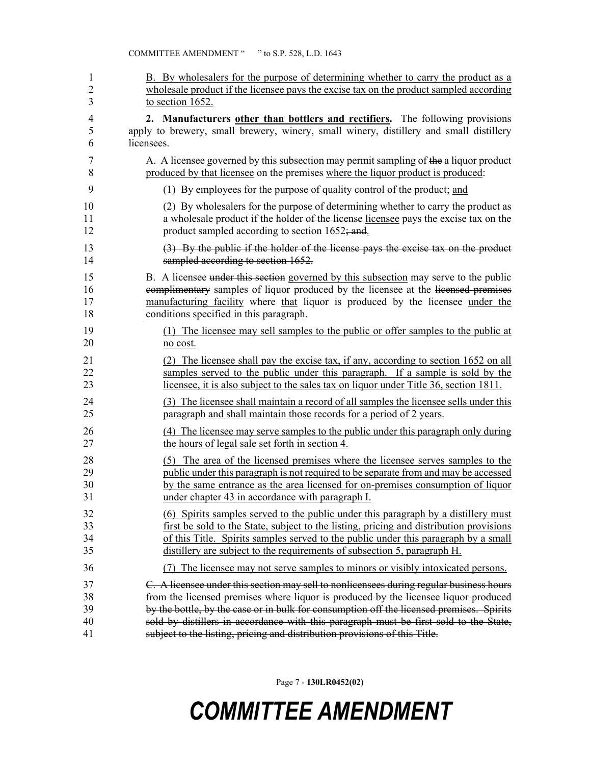| 1              | B. By wholesalers for the purpose of determining whether to carry the product as a       |
|----------------|------------------------------------------------------------------------------------------|
| $\overline{2}$ | wholesale product if the licensee pays the excise tax on the product sampled according   |
| 3              | to section 1652.                                                                         |
| 4              | 2. Manufacturers other than bottlers and rectifiers. The following provisions            |
| 5              | apply to brewery, small brewery, winery, small winery, distillery and small distillery   |
| 6              | licensees.                                                                               |
| 7              | A. A licensee governed by this subsection may permit sampling of the a liquor product    |
| 8              | produced by that licensee on the premises where the liquor product is produced:          |
| 9              | (1) By employees for the purpose of quality control of the product; and                  |
| 10             | (2) By wholesalers for the purpose of determining whether to carry the product as        |
| 11             | a wholesale product if the holder of the license licensee pays the excise tax on the     |
| 12             | product sampled according to section 1652; and.                                          |
| 13             | $(3)$ By the public if the holder of the license pays the excise tax on the product      |
| 14             | sampled according to section 1652.                                                       |
| 15             | B. A licensee under this section governed by this subsection may serve to the public     |
| 16             | complimentary samples of liquor produced by the licensee at the licensed premises        |
| 17             | manufacturing facility where that liquor is produced by the licensee under the           |
| 18             | conditions specified in this paragraph.                                                  |
| 19             | (1) The licensee may sell samples to the public or offer samples to the public at        |
| 20             | no cost.                                                                                 |
| 21             | (2) The licensee shall pay the excise tax, if any, according to section 1652 on all      |
| 22             | samples served to the public under this paragraph. If a sample is sold by the            |
| 23             | licensee, it is also subject to the sales tax on liquor under Title 36, section 1811.    |
| 24             | (3) The licensee shall maintain a record of all samples the licensee sells under this    |
| 25             | paragraph and shall maintain those records for a period of 2 years.                      |
| 26             | (4) The licensee may serve samples to the public under this paragraph only during        |
| 27             | the hours of legal sale set forth in section 4.                                          |
| 28             | (5) The area of the licensed premises where the licensee serves samples to the           |
| 29             | public under this paragraph is not required to be separate from and may be accessed      |
| 30             | by the same entrance as the area licensed for on-premises consumption of liquor          |
| 31             | under chapter 43 in accordance with paragraph I.                                         |
| 32             | (6) Spirits samples served to the public under this paragraph by a distillery must       |
| 33             | first be sold to the State, subject to the listing, pricing and distribution provisions  |
| 34             | of this Title. Spirits samples served to the public under this paragraph by a small      |
| 35             | distillery are subject to the requirements of subsection 5, paragraph H.                 |
| 36             | The licensee may not serve samples to minors or visibly intoxicated persons.<br>(7)      |
| 37             | C. A licensee under this section may sell to nonlicensees during regular business hours  |
| 38             | from the licensed premises where liquor is produced by the licensee liquor produced      |
| 39             | by the bottle, by the case or in bulk for consumption off the licensed premises. Spirits |
| 40             | sold by distillers in accordance with this paragraph must be first sold to the State,    |
| 41             | subject to the listing, pricing and distribution provisions of this Title.               |

Page 7 - **130LR0452(02)**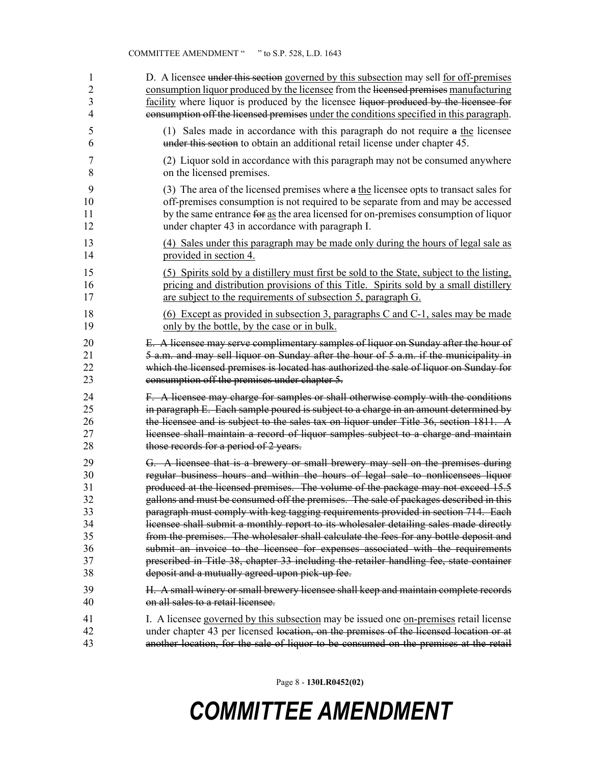| 1              | D. A licensee under this section governed by this subsection may sell for off-premises    |
|----------------|-------------------------------------------------------------------------------------------|
| $\overline{2}$ | consumption liquor produced by the licensee from the licensed premises manufacturing      |
| 3              | facility where liquor is produced by the licensee liquor produced by the licensee for     |
| 4              | consumption off the licensed premises under the conditions specified in this paragraph.   |
| 5              | (1) Sales made in accordance with this paragraph do not require a the licensee            |
| 6              | under this section to obtain an additional retail license under chapter 45.               |
| 7              | (2) Liquor sold in accordance with this paragraph may not be consumed anywhere            |
| 8              | on the licensed premises.                                                                 |
| 9              | (3) The area of the licensed premises where $a$ the licensee opts to transact sales for   |
| 10             | off-premises consumption is not required to be separate from and may be accessed          |
| 11             | by the same entrance for as the area licensed for on-premises consumption of liquor       |
| 12             | under chapter 43 in accordance with paragraph I.                                          |
| 13             | (4) Sales under this paragraph may be made only during the hours of legal sale as         |
| 14             | provided in section 4.                                                                    |
| 15             | (5) Spirits sold by a distillery must first be sold to the State, subject to the listing, |
| 16             | pricing and distribution provisions of this Title. Spirits sold by a small distillery     |
| 17             | are subject to the requirements of subsection 5, paragraph G.                             |
| 18             | (6) Except as provided in subsection 3, paragraphs C and C-1, sales may be made           |
| 19             | only by the bottle, by the case or in bulk.                                               |
| 20             | E. A licensee may serve complimentary samples of liquor on Sunday after the hour of       |
| 21             | 5 a.m. and may sell liquor on Sunday after the hour of 5 a.m. if the municipality in      |
| 22             | which the licensed premises is located has authorized the sale of liquor on Sunday for    |
| 23             | consumption off the premises under chapter 5.                                             |
| 24             | F. A licensee may charge for samples or shall otherwise comply with the conditions        |
| 25             | in paragraph E. Each sample poured is subject to a charge in an amount determined by      |
| 26             | the licensee and is subject to the sales tax on liquor under Title 36, section 1811. A    |
| 27             | licensee shall maintain a record of liquor samples subject to a charge and maintain       |
| 28             | those records for a period of 2 years.                                                    |
| 29             | G. A licensee that is a brewery or small brewery may sell on the premises during          |
| 30             | regular business hours and within the hours of legal sale to nonlicensees liquor          |
| 31             | produced at the licensed premises. The volume of the package may not exceed 15.5          |
| 32             | gallons and must be consumed off the premises. The sale of packages described in this     |
| 33             | paragraph must comply with keg tagging requirements provided in section 714. Each         |
| 34             | licensee shall submit a monthly report to its wholesaler detailing sales made directly    |
| 35             | from the premises. The wholesaler shall calculate the fees for any bottle deposit and     |
| 36             | submit an invoice to the licensee for expenses associated with the requirements           |
| 37             | prescribed in Title 38, chapter 33 including the retailer handling fee, state container   |
| 38             | deposit and a mutually agreed-upon pick-up fee.                                           |
| 39             | H. A small winery or small brewery licensee shall keep and maintain complete records      |
| 40             | on all sales to a retail licensee.                                                        |
| 41             | I. A licensee governed by this subsection may be issued one on-premises retail license    |
| 42             | under chapter 43 per licensed location, on the premises of the licensed location or at    |
| 43             | another location, for the sale of liquor to be consumed on the premises at the retail     |

Page 8 - **130LR0452(02)**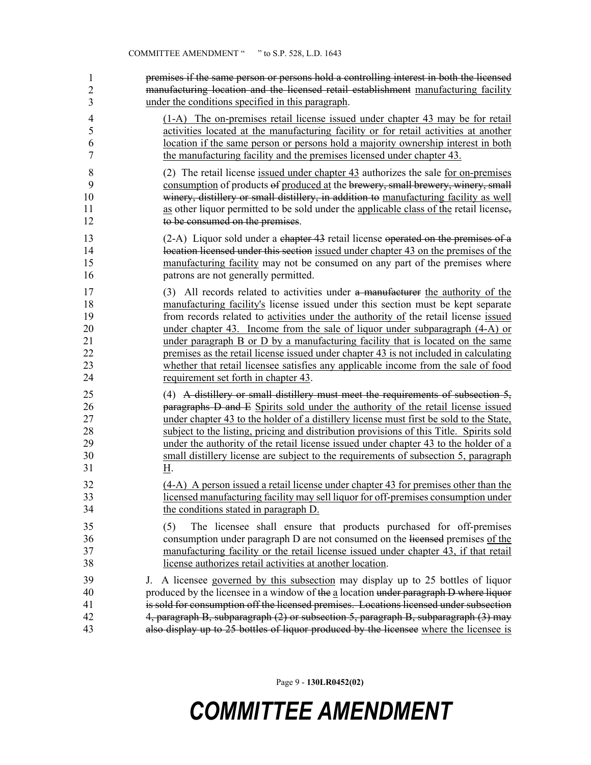1 2 3 premises if the same person or persons hold a controlling interest in both the licensed manufacturing location and the licensed retail establishment manufacturing facility under the conditions specified in this paragraph.

4 (1-A) The on-premises retail license issued under chapter 43 may be for retail 5 activities located at the manufacturing facility or for retail activities at another 6 location if the same person or persons hold a majority ownership interest in both 7 the manufacturing facility and the premises licensed under chapter 43.

8 (2) The retail license issued under chapter 43 authorizes the sale for on-premises 9 consumption of products of produced at the brewery, small brewery, winery, small 10 winery, distillery or small distillery, in addition to manufacturing facility as well 11 as other liquor permitted to be sold under the applicable class of the retail license, 12 to be consumed on the premises.

13 (2-A) Liquor sold under a chapter 43 retail license operated on the premises of a 14 location licensed under this section issued under chapter 43 on the premises of the 15 manufacturing facility may not be consumed on any part of the premises where 16 patrons are not generally permitted.

17 (3) All records related to activities under a manufacturer the authority of the 18 manufacturing facility's license issued under this section must be kept separate 19 from records related to activities under the authority of the retail license issued 20 under chapter 43. Income from the sale of liquor under subparagraph (4-A) or 21 under paragraph B or D by a manufacturing facility that is located on the same 22 premises as the retail license issued under chapter 43 is not included in calculating 23 whether that retail licensee satisfies any applicable income from the sale of food 24 requirement set forth in chapter 43.

25 (4) A distillery or small distillery must meet the requirements of subsection 5, 26 paragraphs D and E Spirits sold under the authority of the retail license issued 27 under chapter 43 to the holder of a distillery license must first be sold to the State, 28 subject to the listing, pricing and distribution provisions of this Title. Spirits sold 29 under the authority of the retail license issued under chapter 43 to the holder of a 30 small distillery license are subject to the requirements of subsection 5, paragraph 31 H.

32 (4-A) A person issued a retail license under chapter 43 for premises other than the 33 licensed manufacturing facility may sell liquor for off-premises consumption under 34 the conditions stated in paragraph D.

35 (5) The licensee shall ensure that products purchased for off-premises 36 consumption under paragraph D are not consumed on the licensed premises of the 37 manufacturing facility or the retail license issued under chapter 43, if that retail 38 license authorizes retail activities at another location.

39 J. A licensee governed by this subsection may display up to 25 bottles of liquor 40 produced by the licensee in a window of the a location under paragraph D where liquor 41 is sold for consumption off the licensed premises. Locations licensed under subsection 42 4, paragraph B, subparagraph (2) or subsection 5, paragraph B, subparagraph (3) may 43 also display up to 25 bottles of liquor produced by the licensee where the licensee is

Page 9 - **130LR0452(02)**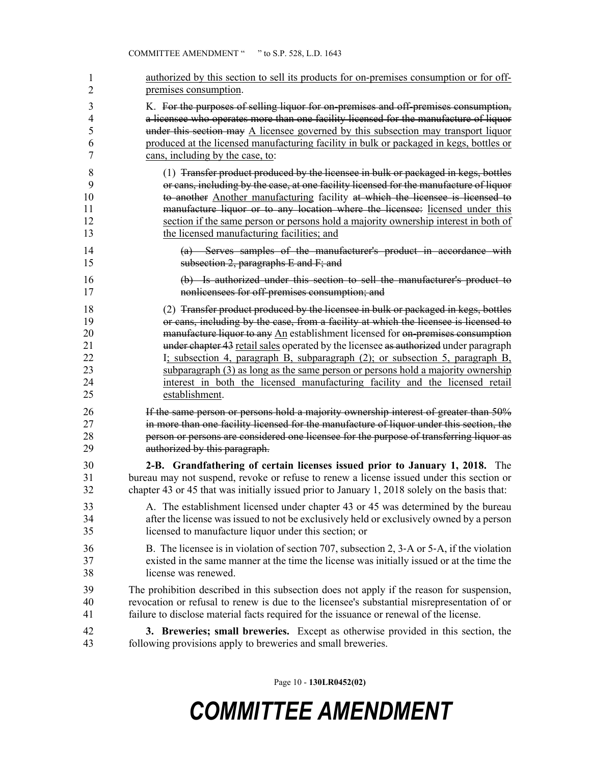| 1  | authorized by this section to sell its products for on-premises consumption or for off-       |
|----|-----------------------------------------------------------------------------------------------|
| 2  | premises consumption.                                                                         |
| 3  | K. For the purposes of selling liquor for on-premises and off-premises consumption,           |
| 4  | a licensee who operates more than one facility licensed for the manufacture of liquor         |
| 5  | under this section may A licensee governed by this subsection may transport liquor            |
| 6  | produced at the licensed manufacturing facility in bulk or packaged in kegs, bottles or       |
| 7  | cans, including by the case, to:                                                              |
| 8  | (1) Transfer product produced by the licensee in bulk or packaged in kegs, bottles            |
| 9  | or cans, including by the case, at one facility licensed for the manufacture of liquor        |
| 10 | to another Another manufacturing facility at which the licensee is licensed to                |
| 11 | manufacture liquor or to any location where the licensee: licensed under this                 |
| 12 | section if the same person or persons hold a majority ownership interest in both of           |
| 13 | the licensed manufacturing facilities; and                                                    |
| 14 | (a) Serves samples of the manufacturer's product in accordance with                           |
| 15 | subsection 2, paragraphs $E$ and $F$ ; and                                                    |
| 16 | (b) Is authorized under this section to sell the manufacturer's product to                    |
| 17 | nonlicensees for off-premises consumption; and                                                |
| 18 | (2) Transfer product produced by the licensee in bulk or packaged in kegs, bottles            |
| 19 | or cans, including by the case, from a facility at which the licensee is licensed to          |
| 20 | manufacture liquor to any An establishment licensed for on-premises consumption               |
| 21 | under chapter 43 retail sales operated by the licensee as authorized under paragraph          |
| 22 | I; subsection 4, paragraph B, subparagraph (2); or subsection 5, paragraph B,                 |
| 23 | subparagraph (3) as long as the same person or persons hold a majority ownership              |
| 24 | interest in both the licensed manufacturing facility and the licensed retail                  |
| 25 | establishment.                                                                                |
| 26 | If the same person or persons hold a majority ownership interest of greater than 50%          |
| 27 | in more than one facility licensed for the manufacture of liquor under this section, the      |
| 28 | person or persons are considered one licensee for the purpose of transferring liquor as       |
| 29 | authorized by this paragraph.                                                                 |
| 30 | 2-B. Grandfathering of certain licenses issued prior to January 1, 2018. The                  |
| 31 | bureau may not suspend, revoke or refuse to renew a license issued under this section or      |
| 32 | chapter 43 or 45 that was initially issued prior to January 1, 2018 solely on the basis that: |
| 33 | A. The establishment licensed under chapter 43 or 45 was determined by the bureau             |
| 34 | after the license was issued to not be exclusively held or exclusively owned by a person      |
| 35 | licensed to manufacture liquor under this section; or                                         |
| 36 | B. The licensee is in violation of section 707, subsection 2, 3-A or 5-A, if the violation    |
| 37 | existed in the same manner at the time the license was initially issued or at the time the    |
| 38 | license was renewed.                                                                          |
| 39 | The prohibition described in this subsection does not apply if the reason for suspension,     |
| 40 | revocation or refusal to renew is due to the licensee's substantial misrepresentation of or   |
| 41 | failure to disclose material facts required for the issuance or renewal of the license.       |
| 42 | 3. Breweries; small breweries. Except as otherwise provided in this section, the              |
| 43 | following provisions apply to breweries and small breweries.                                  |

Page 10 - **130LR0452(02)**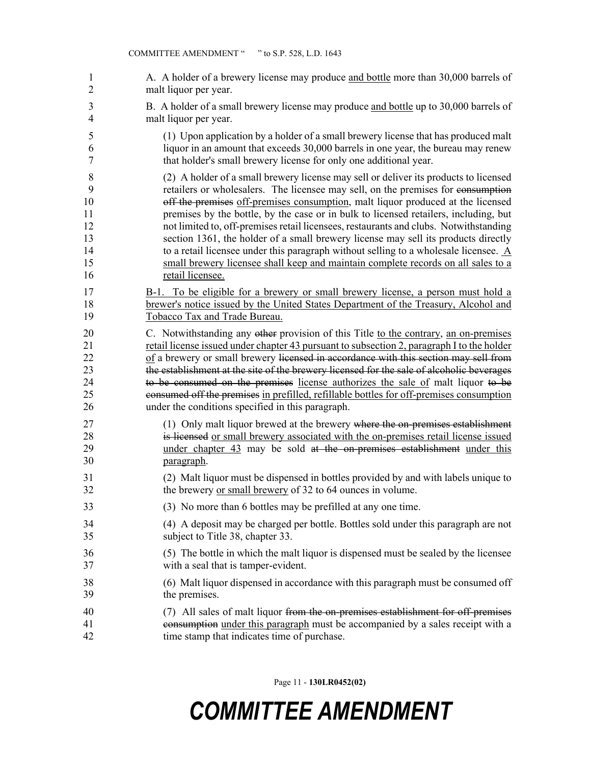| 1              | A. A holder of a brewery license may produce and bottle more than 30,000 barrels of                |
|----------------|----------------------------------------------------------------------------------------------------|
| $\overline{2}$ | malt liquor per year.                                                                              |
| 3              | B. A holder of a small brewery license may produce and bottle up to 30,000 barrels of              |
| $\overline{4}$ | malt liquor per year.                                                                              |
| 5              | (1) Upon application by a holder of a small brewery license that has produced malt                 |
| 6              | liquor in an amount that exceeds 30,000 barrels in one year, the bureau may renew                  |
| $\tau$         | that holder's small brewery license for only one additional year.                                  |
| 8              | (2) A holder of a small brewery license may sell or deliver its products to licensed               |
| 9              | retailers or wholesalers. The licensee may sell, on the premises for eonsumption                   |
| 10             | off the premises off-premises consumption, malt liquor produced at the licensed                    |
| 11             | premises by the bottle, by the case or in bulk to licensed retailers, including, but               |
| 12             | not limited to, off-premises retail licensees, restaurants and clubs. Notwithstanding              |
| 13             | section 1361, the holder of a small brewery license may sell its products directly                 |
| 14             | to a retail licensee under this paragraph without selling to a wholesale licensee. $\underline{A}$ |
| 15             | small brewery licensee shall keep and maintain complete records on all sales to a                  |
| 16             | retail licensee.                                                                                   |
| 17             | B-1. To be eligible for a brewery or small brewery license, a person must hold a                   |
| 18             | brewer's notice issued by the United States Department of the Treasury, Alcohol and                |
| 19             | Tobacco Tax and Trade Bureau.                                                                      |
| 20             | C. Notwithstanding any other provision of this Title to the contrary, an on-premises               |
| 21             | retail license issued under chapter 43 pursuant to subsection 2, paragraph I to the holder         |
| 22             | of a brewery or small brewery licensed in accordance with this section may sell from               |
| 23             | the establishment at the site of the brewery licensed for the sale of alcoholic beverages          |
| 24             | to be consumed on the premises license authorizes the sale of malt liquor to be                    |
| 25             | consumed off the premises in prefilled, refillable bottles for off-premises consumption            |
| 26             | under the conditions specified in this paragraph.                                                  |
| 27             | (1) Only malt liquor brewed at the brewery where the on-premises establishment                     |
| 28             | is licensed or small brewery associated with the on-premises retail license issued                 |
| 29             | under chapter 43 may be sold at the on-premises establishment under this                           |
| 30             | paragraph.                                                                                         |
| 31             | (2) Malt liquor must be dispensed in bottles provided by and with labels unique to                 |
| 32             | the brewery or small brewery of 32 to 64 ounces in volume.                                         |
| 33             | (3) No more than 6 bottles may be prefilled at any one time.                                       |
| 34             | (4) A deposit may be charged per bottle. Bottles sold under this paragraph are not                 |
| 35             | subject to Title 38, chapter 33.                                                                   |
| 36             | (5) The bottle in which the malt liquor is dispensed must be sealed by the licensee                |
| 37             | with a seal that is tamper-evident.                                                                |
| 38             | (6) Malt liquor dispensed in accordance with this paragraph must be consumed off                   |
| 39             | the premises.                                                                                      |
| 40             | (7) All sales of malt liquor from the on-premises establishment for off-premises                   |
| 41             | consumption under this paragraph must be accompanied by a sales receipt with a                     |
| 42             | time stamp that indicates time of purchase.                                                        |

Page 11 - **130LR0452(02)**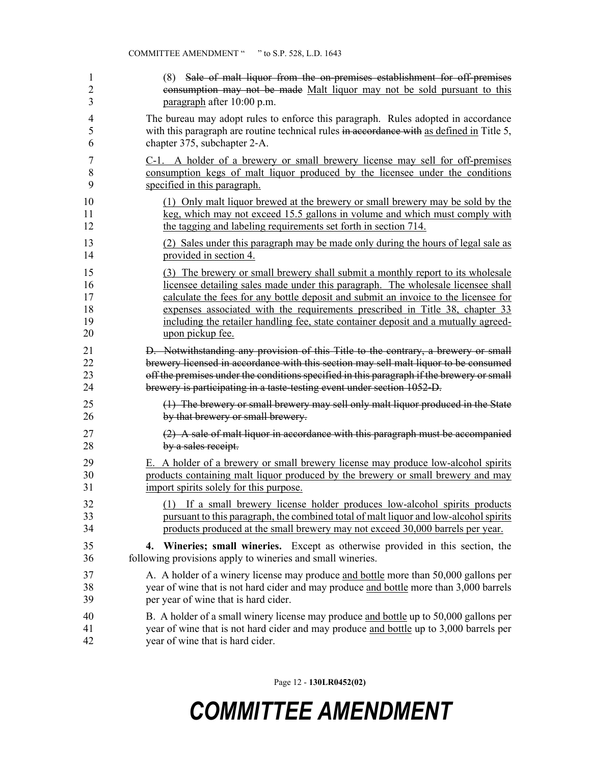| 1              | (8) Sale of malt liquor from the on-premises establishment for off-premises               |
|----------------|-------------------------------------------------------------------------------------------|
| $\overline{2}$ | consumption may not be made Malt liquor may not be sold pursuant to this                  |
| 3              | paragraph after 10:00 p.m.                                                                |
| 4              | The bureau may adopt rules to enforce this paragraph. Rules adopted in accordance         |
| 5              | with this paragraph are routine technical rules in accordance with as defined in Title 5, |
| 6              | chapter 375, subchapter 2-A.                                                              |
| 7              | C-1. A holder of a brewery or small brewery license may sell for off-premises             |
| $\,$ $\,$      | consumption kegs of malt liquor produced by the licensee under the conditions             |
| 9              | specified in this paragraph.                                                              |
| 10             | (1) Only malt liquor brewed at the brewery or small brewery may be sold by the            |
| 11             | keg, which may not exceed 15.5 gallons in volume and which must comply with               |
| 12             | the tagging and labeling requirements set forth in section 714.                           |
| 13             | (2) Sales under this paragraph may be made only during the hours of legal sale as         |
| 14             | provided in section 4.                                                                    |
| 15             | (3) The brewery or small brewery shall submit a monthly report to its wholesale           |
| 16             | licensee detailing sales made under this paragraph. The wholesale licensee shall          |
| 17             | calculate the fees for any bottle deposit and submit an invoice to the licensee for       |
| 18             | expenses associated with the requirements prescribed in Title 38, chapter 33              |
| 19             | including the retailer handling fee, state container deposit and a mutually agreed-       |
| 20             | upon pickup fee.                                                                          |
| 21             | D. Notwithstanding any provision of this Title to the contrary, a brewery or small        |
| 22             | brewery licensed in accordance with this section may sell malt liquor to be consumed      |
| 23             | off the premises under the conditions specified in this paragraph if the brewery or small |
| 24             | brewery is participating in a taste-testing event under section 1052-D.                   |
| 25             | (1) The brewery or small brewery may sell only malt liquor produced in the State          |
| 26             | by that brewery or small brewery.                                                         |
| 27             | $(2)$ A sale of malt liquor in accordance with this paragraph must be accompanied         |
| 28             | by a sales receipt.                                                                       |
| 29             | E. A holder of a brewery or small brewery license may produce low-alcohol spirits         |
| 30             | products containing malt liquor produced by the brewery or small brewery and may          |
| 31             | import spirits solely for this purpose.                                                   |
| 32             | (1) If a small brewery license holder produces low-alcohol spirits products               |
| 33             | pursuant to this paragraph, the combined total of malt liquor and low-alcohol spirits     |
| 34             | products produced at the small brewery may not exceed 30,000 barrels per year.            |
| 35             | 4. Wineries; small wineries. Except as otherwise provided in this section, the            |
| 36             | following provisions apply to wineries and small wineries.                                |
| 37             | A. A holder of a winery license may produce and bottle more than 50,000 gallons per       |
| 38             | year of wine that is not hard cider and may produce and bottle more than 3,000 barrels    |
| 39             | per year of wine that is hard cider.                                                      |
| 40             | B. A holder of a small winery license may produce and bottle up to 50,000 gallons per     |
| 41             | year of wine that is not hard cider and may produce and bottle up to 3,000 barrels per    |
| 42             | year of wine that is hard cider.                                                          |

Page 12 - **130LR0452(02)**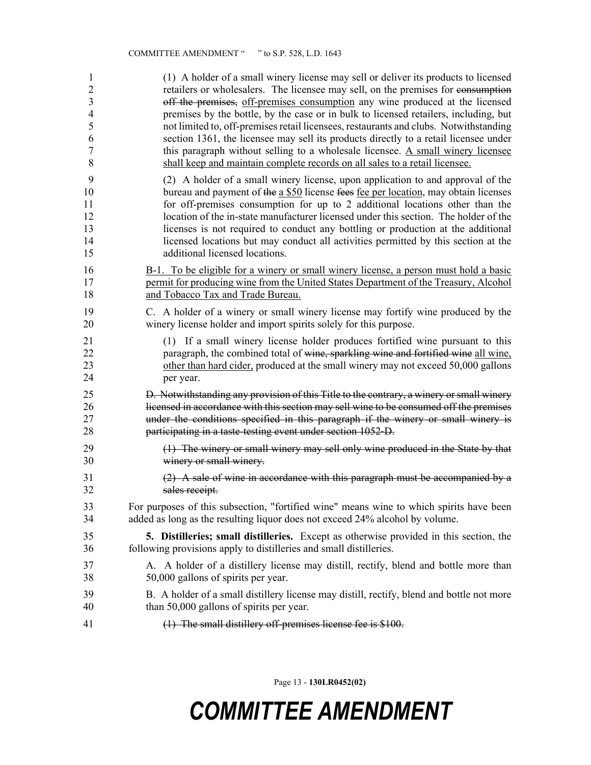| 1                | (1) A holder of a small winery license may sell or deliver its products to licensed           |
|------------------|-----------------------------------------------------------------------------------------------|
| $\overline{2}$   | retailers or wholesalers. The licensee may sell, on the premises for consumption              |
| 3                | off the premises, off-premises consumption any wine produced at the licensed                  |
| $\overline{4}$   | premises by the bottle, by the case or in bulk to licensed retailers, including, but          |
| 5                | not limited to, off-premises retail licensees, restaurants and clubs. Notwithstanding         |
| 6                | section 1361, the licensee may sell its products directly to a retail licensee under          |
| $\boldsymbol{7}$ | this paragraph without selling to a wholesale licensee. A small winery licensee               |
| 8                | shall keep and maintain complete records on all sales to a retail licensee.                   |
| 9                | (2) A holder of a small winery license, upon application to and approval of the               |
| 10               | bureau and payment of the a \$50 license fees fee per location, may obtain licenses           |
| 11               | for off-premises consumption for up to 2 additional locations other than the                  |
| 12               | location of the in-state manufacturer licensed under this section. The holder of the          |
| 13               | licenses is not required to conduct any bottling or production at the additional              |
| 14               | licensed locations but may conduct all activities permitted by this section at the            |
| 15               | additional licensed locations.                                                                |
| 16               | B-1. To be eligible for a winery or small winery license, a person must hold a basic          |
| 17               | permit for producing wine from the United States Department of the Treasury, Alcohol          |
| 18               | and Tobacco Tax and Trade Bureau.                                                             |
| 19               | C. A holder of a winery or small winery license may fortify wine produced by the              |
| 20               | winery license holder and import spirits solely for this purpose.                             |
| 21               | (1) If a small winery license holder produces fortified wine pursuant to this                 |
| 22               | paragraph, the combined total of wine, sparkling wine and fortified wine all wine,            |
| 23               | other than hard cider, produced at the small winery may not exceed 50,000 gallons             |
| 24               | per year.                                                                                     |
| 25               | D. Notwithstanding any provision of this Title to the contrary, a winery or small winery      |
| 26               | licensed in accordance with this section may sell wine to be consumed off the premises        |
| 27               | under the conditions specified in this paragraph if the winery or small winery is             |
| 28               | participating in a taste-testing event under section 1052-D.                                  |
| 29               | (1) The winery or small winery may sell only wine produced in the State by that               |
| 30               | winery or small winery.                                                                       |
| 31               | (2) A sale of wine in accordance with this paragraph must be accompanied by a                 |
| 32               | sales receipt.                                                                                |
| 33               | For purposes of this subsection, "fortified wine" means wine to which spirits have been       |
| 34               | added as long as the resulting liquor does not exceed 24% alcohol by volume.                  |
| 35               | <b>5. Distilleries; small distilleries.</b> Except as otherwise provided in this section, the |
| 36               | following provisions apply to distilleries and small distilleries.                            |
| 37               | A. A holder of a distillery license may distill, rectify, blend and bottle more than          |
| 38               | 50,000 gallons of spirits per year.                                                           |
| 39               | B. A holder of a small distillery license may distill, rectify, blend and bottle not more     |
| 40               | than 50,000 gallons of spirits per year.                                                      |
| 41               | (1) The small distillery off-premises license fee is \$100.                                   |

Page 13 - **130LR0452(02)**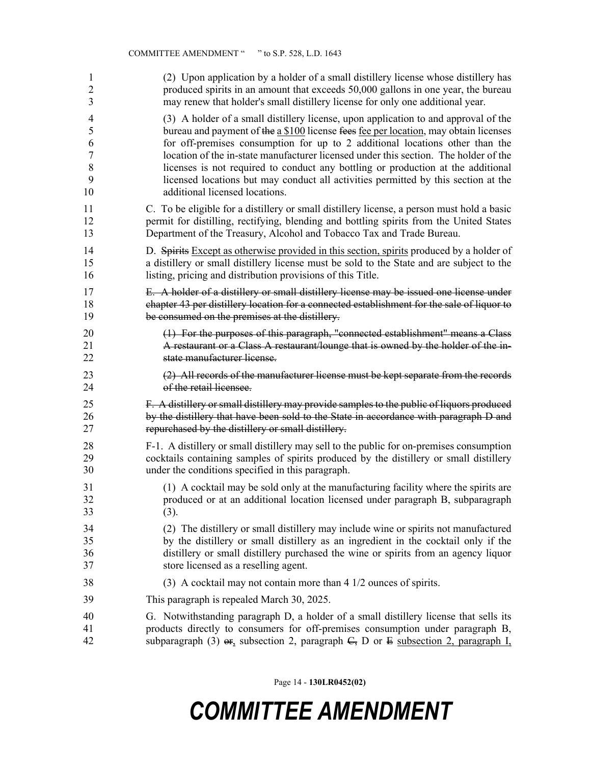| 1              | (2) Upon application by a holder of a small distillery license whose distillery has                         |
|----------------|-------------------------------------------------------------------------------------------------------------|
| $\overline{2}$ | produced spirits in an amount that exceeds 50,000 gallons in one year, the bureau                           |
| 3              | may renew that holder's small distillery license for only one additional year.                              |
| $\overline{4}$ | (3) A holder of a small distillery license, upon application to and approval of the                         |
| 5              | bureau and payment of the a \$100 license fees fee per location, may obtain licenses                        |
| 6              | for off-premises consumption for up to 2 additional locations other than the                                |
| $\overline{7}$ | location of the in-state manufacturer licensed under this section. The holder of the                        |
| 8              | licenses is not required to conduct any bottling or production at the additional                            |
| 9              | licensed locations but may conduct all activities permitted by this section at the                          |
| 10             | additional licensed locations.                                                                              |
| 11             | C. To be eligible for a distillery or small distillery license, a person must hold a basic                  |
| 12             | permit for distilling, rectifying, blending and bottling spirits from the United States                     |
| 13             | Department of the Treasury, Alcohol and Tobacco Tax and Trade Bureau.                                       |
| 14             | D. Spirits Except as otherwise provided in this section, spirits produced by a holder of                    |
| 15             | a distillery or small distillery license must be sold to the State and are subject to the                   |
| 16             | listing, pricing and distribution provisions of this Title.                                                 |
| 17             | E. A holder of a distillery or small distillery license may be issued one license under                     |
| 18             | chapter 43 per distillery location for a connected establishment for the sale of liquor to                  |
| 19             | be consumed on the premises at the distillery.                                                              |
| 20             | (1) For the purposes of this paragraph, "connected establishment" means a Class                             |
| 21             | A restaurant or a Class A restaurant/lounge that is owned by the holder of the in-                          |
| 22             | state manufacturer license.                                                                                 |
| 23             | (2) All records of the manufacturer license must be kept separate from the records                          |
| 24             | of the retail licensee.                                                                                     |
| 25             | F. A distillery or small distillery may provide samples to the public of liquors produced                   |
| 26             | by the distillery that have been sold to the State in accordance with paragraph D and                       |
| 27             | repurchased by the distillery or small distillery.                                                          |
| 28             | F-1. A distillery or small distillery may sell to the public for on-premises consumption                    |
| 29             | cocktails containing samples of spirits produced by the distillery or small distillery                      |
| 30             | under the conditions specified in this paragraph.                                                           |
| 31             | (1) A cocktail may be sold only at the manufacturing facility where the spirits are                         |
| 32             | produced or at an additional location licensed under paragraph B, subparagraph                              |
| 33             | (3).                                                                                                        |
| 34             | (2) The distillery or small distillery may include wine or spirits not manufactured                         |
| 35             | by the distillery or small distillery as an ingredient in the cocktail only if the                          |
| 36             | distillery or small distillery purchased the wine or spirits from an agency liquor                          |
| 37             | store licensed as a reselling agent.                                                                        |
| 38             | (3) A cocktail may not contain more than 4 1/2 ounces of spirits.                                           |
| 39             | This paragraph is repealed March 30, 2025.                                                                  |
| 40             | G. Notwithstanding paragraph D, a holder of a small distillery license that sells its                       |
| 41             | products directly to consumers for off-premises consumption under paragraph B,                              |
| 42             | subparagraph (3) $\Theta$ <sub>1</sub> subsection 2, paragraph $\Theta$ , D or E subsection 2, paragraph I, |

Page 14 - **130LR0452(02)**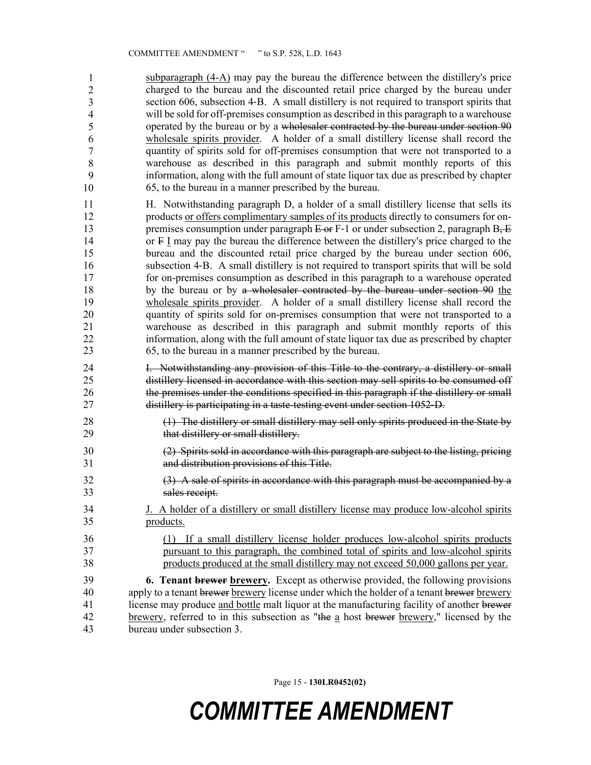$subparagnph$   $(4-A)$  may pay the bureau the difference between the distillery's price charged to the bureau and the discounted retail price charged by the bureau under section 606, subsection 4–B. A small distillery is not required to transport spirits that will be sold for off-premises consumption as described in this paragraph to a warehouse operated by the bureau or by a wholesaler contracted by the bureau under section 90 wholesale spirits provider. A holder of a small distillery license shall record the quantity of spirits sold for off-premises consumption that were not transported to a warehouse as described in this paragraph and submit monthly reports of this 51 information, along with the full amount of state liquor tax due as prescribed by chapter 52 65, to the bureau in a manner prescribed by the bureau. 1 2 3 4 5 6 7 8 9 10

- 11 H. Notwithstanding paragraph D, a holder of a small distillery license that sells its 12 products or offers complimentary samples of its products directly to consumers for on-13 premises consumption under paragraph  $E \to F-1$  or under subsection 2, paragraph B,  $E$ 14 or F I may pay the bureau the difference between the distillery's price charged to the 15 bureau and the discounted retail price charged by the bureau under section 606, 16 subsection 4‑B. A small distillery is not required to transport spirits that will be sold 17 for on-premises consumption as described in this paragraph to a warehouse operated 18 by the bureau or by a wholesaler contracted by the bureau under section 90 the 19 wholesale spirits provider. A holder of a small distillery license shall record the 20 quantity of spirits sold for on-premises consumption that were not transported to a 21 warehouse as described in this paragraph and submit monthly reports of this 22 information, along with the full amount of state liquor tax due as prescribed by chapter 23 65, to the bureau in a manner prescribed by the bureau.
- 24 I. Notwithstanding any provision of this Title to the contrary, a distillery or small 25 distillery licensed in accordance with this section may sell spirits to be consumed off 26 the premises under the conditions specified in this paragraph if the distillery or small 27 distillery is participating in a taste-testing event under section 1052‑D.
- 28 (1) The distillery or small distillery may sell only spirits produced in the State by 29 that distillery or small distillery.
- 30 (2) Spirits sold in accordance with this paragraph are subject to the listing, pricing 31 and distribution provisions of this Title.
- 32 (3) A sale of spirits in accordance with this paragraph must be accompanied by a 33 sales receipt.
- 34 J. A holder of a distillery or small distillery license may produce low-alcohol spirits 35 products.
- 36 (1) If a small distillery license holder produces low-alcohol spirits products 37 pursuant to this paragraph, the combined total of spirits and low-alcohol spirits 38 products produced at the small distillery may not exceed 50,000 gallons per year.

39 **6. Tenant brewer brewery.** Except as otherwise provided, the following provisions 40 apply to a tenant brewer brewery license under which the holder of a tenant brewer brewery 41 license may produce and bottle malt liquor at the manufacturing facility of another brewer 42 brewery, referred to in this subsection as "the a host brewer brewery," licensed by the 43 bureau under subsection 3.

Page 15 - **130LR0452(02)**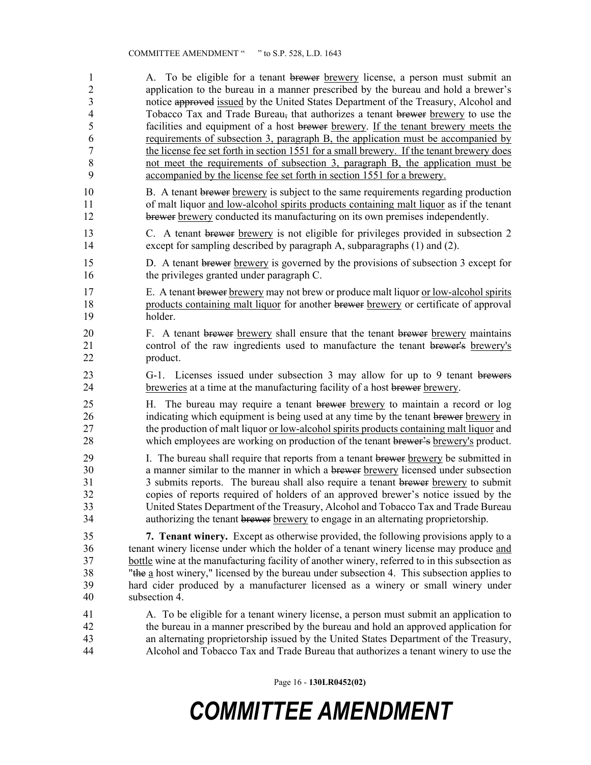1 A. To be eligible for a tenant brewer brewery license, a person must submit an 2 application to the bureau in a manner prescribed by the bureau and hold a brewer's 3 notice approved issued by the United States Department of the Treasury, Alcohol and 4 Tobacco Tax and Trade Bureau, that authorizes a tenant brewer brewery to use the 5 facilities and equipment of a host brewer brewery. If the tenant brewery meets the 6 requirements of subsection 3, paragraph B, the application must be accompanied by 7 the license fee set forth in section 1551 for a small brewery. If the tenant brewery does 8 not meet the requirements of subsection 3, paragraph B, the application must be 9 accompanied by the license fee set forth in section 1551 for a brewery. 10 B. A tenant brewer brewery is subject to the same requirements regarding production 11 of malt liquor and low-alcohol spirits products containing malt liquor as if the tenant 12 brewer brewery conducted its manufacturing on its own premises independently. 13 C. A tenant brewer brewery is not eligible for privileges provided in subsection 2 14 except for sampling described by paragraph A, subparagraphs (1) and (2). 15 D. A tenant brewer brewery is governed by the provisions of subsection 3 except for 16 the privileges granted under paragraph C. 17 E. A tenant brewer brewery may not brew or produce malt liquor or low-alcohol spirits 18 products containing malt liquor for another brewer brewery or certificate of approval 19 holder. 20 F. A tenant brewer brewery shall ensure that the tenant brewer brewery maintains 21 control of the raw ingredients used to manufacture the tenant brewer's brewery's 22 product. 23 G-1. Licenses issued under subsection 3 may allow for up to 9 tenant brewers 24 breweries at a time at the manufacturing facility of a host brewer brewery. 25 H. The bureau may require a tenant brewer brewery to maintain a record or log 26 indicating which equipment is being used at any time by the tenant brewer brewery in 27 the production of malt liquor <u>or low-alcohol spirits products containing malt liquor</u> and 28 which employees are working on production of the tenant brewer's brewery's product. 29 I. The bureau shall require that reports from a tenant brewer brewery be submitted in 30 a manner similar to the manner in which a brewer brewery licensed under subsection 31 3 3 submits reports. The bureau shall also require a tenant brewer brewery to submit 32 copies of reports required of holders of an approved brewer's notice issued by the 33 United States Department of the Treasury, Alcohol and Tobacco Tax and Trade Bureau 34 authorizing the tenant brewer brewery to engage in an alternating proprietorship. 35 **7. Tenant winery.** Except as otherwise provided, the following provisions apply to a 36 tenant winery license under which the holder of a tenant winery license may produce and 37 bottle wine at the manufacturing facility of another winery, referred to in this subsection as 38 "the a host winery," licensed by the bureau under subsection 4. This subsection applies to 39 hard cider produced by a manufacturer licensed as a winery or small winery under 40 subsection 4. 41 A. To be eligible for a tenant winery license, a person must submit an application to 42 the bureau in a manner prescribed by the bureau and hold an approved application for 43 an alternating proprietorship issued by the United States Department of the Treasury, 44 Alcohol and Tobacco Tax and Trade Bureau that authorizes a tenant winery to use the

Page 16 - **130LR0452(02)**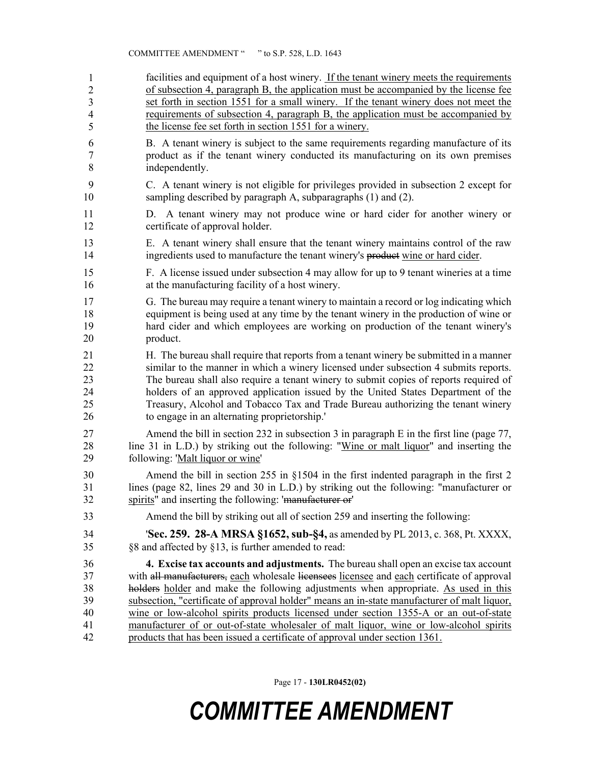#### COMMITTEE AMENDMENT " " to S.P. 528, L.D. 1643

- facilities and equipment of a host winery. If the tenant winery meets the requirements of subsection 4, paragraph B, the application must be accompanied by the license fee set forth in section 1551 for a small winery. If the tenant winery does not meet the requirements of subsection 4, paragraph B, the application must be accompanied by the license fee set forth in section 1551 for a winery. 1 2 3 4 5
- 6 B. A tenant winery is subject to the same requirements regarding manufacture of its 7 product as if the tenant winery conducted its manufacturing on its own premises 8 independently.
- 9 C. A tenant winery is not eligible for privileges provided in subsection 2 except for 10 sampling described by paragraph A, subparagraphs (1) and (2).
- 11 D. A tenant winery may not produce wine or hard cider for another winery or 12 certificate of approval holder.
- 13 E. A tenant winery shall ensure that the tenant winery maintains control of the raw 14 ingredients used to manufacture the tenant winery's product wine or hard cider.
- 15 F. A license issued under subsection 4 may allow for up to 9 tenant wineries at a time 16 at the manufacturing facility of a host winery.
- 17 G. The bureau may require a tenant winery to maintain a record or log indicating which 18 equipment is being used at any time by the tenant winery in the production of wine or 19 hard cider and which employees are working on production of the tenant winery's 20 product.
- 21 H. The bureau shall require that reports from a tenant winery be submitted in a manner 22 similar to the manner in which a winery licensed under subsection 4 submits reports. 23 The bureau shall also require a tenant winery to submit copies of reports required of 24 holders of an approved application issued by the United States Department of the 25 Treasury, Alcohol and Tobacco Tax and Trade Bureau authorizing the tenant winery 26 to engage in an alternating proprietorship.'
- 27 Amend the bill in section 232 in subsection 3 in paragraph E in the first line (page 77, 28 line 31 in L.D.) by striking out the following: "Wine or malt liquor" and inserting the 29 following: 'Malt liquor or wine'
- 30 Amend the bill in section 255 in §1504 in the first indented paragraph in the first 2 31 lines (page 82, lines 29 and 30 in L.D.) by striking out the following: "manufacturer or 32 spirits" and inserting the following: 'manufacturer or'
- 33 Amend the bill by striking out all of section 259 and inserting the following:
- 34 '**Sec. 259. 28-A MRSA §1652, sub-§4,** as amended by PL 2013, c. 368, Pt. XXXX, 35 §8 and affected by §13, is further amended to read:
- 36 **4. Excise tax accounts and adjustments.** The bureau shall open an excise tax account 37 with all manufacturers, each wholesale licensees licensee and each certificate of approval 38 holders holder and make the following adjustments when appropriate. As used in this 39 subsection, "certificate of approval holder" means an in-state manufacturer of malt liquor, 40 wine or low-alcohol spirits products licensed under section 1355-A or an out-of-state 41 manufacturer of or out-of-state wholesaler of malt liquor, wine or low-alcohol spirits 42 products that has been issued a certificate of approval under section 1361.

Page 17 - **130LR0452(02)**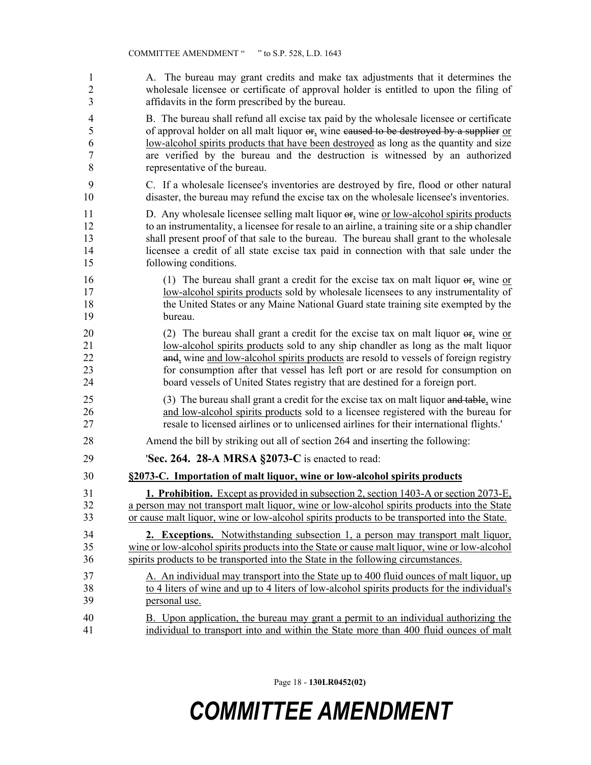| 1              | A. The bureau may grant credits and make tax adjustments that it determines the                          |
|----------------|----------------------------------------------------------------------------------------------------------|
| $\overline{2}$ | wholesale licensee or certificate of approval holder is entitled to upon the filing of                   |
| 3              | affidavits in the form prescribed by the bureau.                                                         |
| 4              | B. The bureau shall refund all excise tax paid by the wholesale licensee or certificate                  |
| 5              | of approval holder on all malt liquor $\theta$ , wine caused to be destroyed by a supplier or            |
| 6              | low-alcohol spirits products that have been destroyed as long as the quantity and size                   |
| 7              | are verified by the bureau and the destruction is witnessed by an authorized                             |
| 8              | representative of the bureau.                                                                            |
| 9              | C. If a wholesale licensee's inventories are destroyed by fire, flood or other natural                   |
| 10             | disaster, the bureau may refund the excise tax on the wholesale licensee's inventories.                  |
| 11             | D. Any wholesale licensee selling malt liquor $\theta$ <sub>s</sub> wine or low-alcohol spirits products |
| 12             | to an instrumentality, a licensee for resale to an airline, a training site or a ship chandler           |
| 13             | shall present proof of that sale to the bureau. The bureau shall grant to the wholesale                  |
| 14             | licensee a credit of all state excise tax paid in connection with that sale under the                    |
| 15             | following conditions.                                                                                    |
| 16             | (1) The bureau shall grant a credit for the excise tax on malt liquor $\Theta$ , wine or                 |
| 17             | low-alcohol spirits products sold by wholesale licensees to any instrumentality of                       |
| 18             | the United States or any Maine National Guard state training site exempted by the                        |
| 19             | bureau.                                                                                                  |
| 20             | (2) The bureau shall grant a credit for the excise tax on malt liquor $\Theta$ , wine or                 |
| 21             | low-alcohol spirits products sold to any ship chandler as long as the malt liquor                        |
| 22             | and, wine and low-alcohol spirits products are resold to vessels of foreign registry                     |
| 23             | for consumption after that vessel has left port or are resold for consumption on                         |
| 24             | board vessels of United States registry that are destined for a foreign port.                            |
| 25             | (3) The bureau shall grant a credit for the excise tax on malt liquor and table, wine                    |
| 26             | and low-alcohol spirits products sold to a licensee registered with the bureau for                       |
| 27             | resale to licensed airlines or to unlicensed airlines for their international flights.'                  |
| 28             | Amend the bill by striking out all of section 264 and inserting the following:                           |
| 29             | <b>'Sec. 264. 28-A MRSA §2073-C</b> is enacted to read:                                                  |
| 30             | §2073-C. Importation of malt liquor, wine or low-alcohol spirits products                                |
| 31             | <b>1. Prohibition.</b> Except as provided in subsection 2, section 1403-A or section 2073-E <sub>1</sub> |
| 32             | a person may not transport malt liquor, wine or low-alcohol spirits products into the State              |
| 33             | or cause malt liquor, wine or low-alcohol spirits products to be transported into the State.             |
| 34             | 2. Exceptions. Notwithstanding subsection 1, a person may transport malt liquor,                         |
| 35             | wine or low-alcohol spirits products into the State or cause malt liquor, wine or low-alcohol            |
| 36             | spirits products to be transported into the State in the following circumstances.                        |
| 37             | A. An individual may transport into the State up to 400 fluid ounces of malt liquor, up                  |
| 38             | to 4 liters of wine and up to 4 liters of low-alcohol spirits products for the individual's              |
| 39             | personal use.                                                                                            |
| 40             | B. Upon application, the bureau may grant a permit to an individual authorizing the                      |
| 41             | individual to transport into and within the State more than 400 fluid ounces of malt                     |

Page 18 - **130LR0452(02)**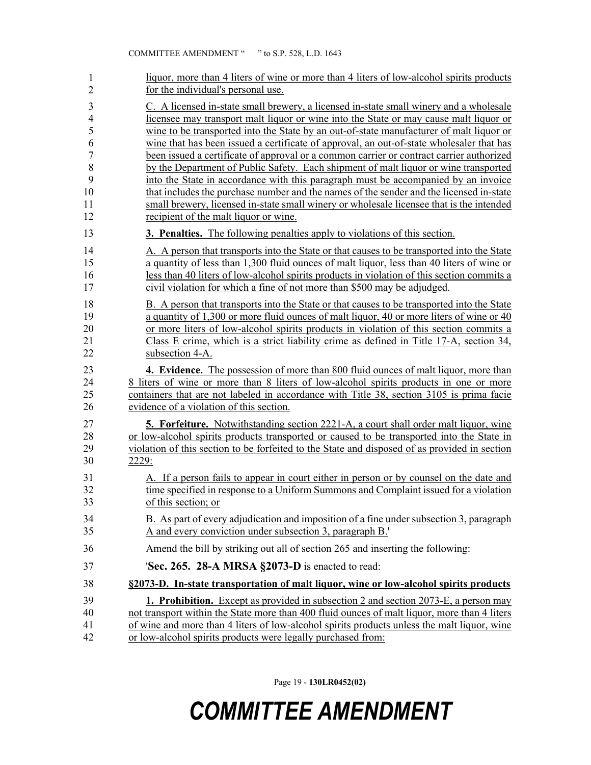| 1              | liquor, more than 4 liters of wine or more than 4 liters of low-alcohol spirits products      |
|----------------|-----------------------------------------------------------------------------------------------|
| $\overline{2}$ | for the individual's personal use.                                                            |
| 3              | C. A licensed in-state small brewery, a licensed in-state small winery and a wholesale        |
| $\overline{4}$ | licensee may transport malt liquor or wine into the State or may cause malt liquor or         |
| 5              | wine to be transported into the State by an out-of-state manufacturer of malt liquor or       |
| 6              | wine that has been issued a certificate of approval, an out-of-state wholesaler that has      |
| $\sqrt{ }$     | been issued a certificate of approval or a common carrier or contract carrier authorized      |
| 8              | by the Department of Public Safety. Each shipment of malt liquor or wine transported          |
| 9              | into the State in accordance with this paragraph must be accompanied by an invoice            |
| 10             | that includes the purchase number and the names of the sender and the licensed in-state       |
| 11             | small brewery, licensed in-state small winery or wholesale licensee that is the intended      |
| 12             | recipient of the malt liquor or wine.                                                         |
| 13             | <b>3. Penalties.</b> The following penalties apply to violations of this section.             |
| 14             | A. A person that transports into the State or that causes to be transported into the State    |
| 15             | a quantity of less than 1,300 fluid ounces of malt liquor, less than 40 liters of wine or     |
| 16             | less than 40 liters of low-alcohol spirits products in violation of this section commits a    |
| 17             | civil violation for which a fine of not more than \$500 may be adjudged.                      |
| 18             | B. A person that transports into the State or that causes to be transported into the State    |
| 19             | a quantity of 1,300 or more fluid ounces of malt liquor, 40 or more liters of wine or 40      |
| 20             | or more liters of low-alcohol spirits products in violation of this section commits a         |
| 21             | Class E crime, which is a strict liability crime as defined in Title 17-A, section 34,        |
| 22             | subsection 4-A.                                                                               |
| 23             | 4. Evidence. The possession of more than 800 fluid ounces of malt liquor, more than           |
| 24             | 8 liters of wine or more than 8 liters of low-alcohol spirits products in one or more         |
| 25             | containers that are not labeled in accordance with Title 38, section 3105 is prima facie      |
| 26             | evidence of a violation of this section.                                                      |
| 27             | <b>5. Forfeiture.</b> Notwithstanding section 2221-A, a court shall order malt liquor, wine   |
| 28             | or low-alcohol spirits products transported or caused to be transported into the State in     |
| 29             | violation of this section to be forfeited to the State and disposed of as provided in section |
| 30             | 2229:                                                                                         |
| 31             | A. If a person fails to appear in court either in person or by counsel on the date and        |
| 32             | time specified in response to a Uniform Summons and Complaint issued for a violation          |
| 33             | of this section; or                                                                           |
| 34             | B. As part of every adjudication and imposition of a fine under subsection 3, paragraph       |
| 35             | A and every conviction under subsection 3, paragraph B.'                                      |
| 36             | Amend the bill by striking out all of section 265 and inserting the following:                |
| 37             | <b>Sec. 265. 28-A MRSA §2073-D</b> is enacted to read:                                        |
| 38             | §2073-D. In-state transportation of malt liquor, wine or low-alcohol spirits products         |
| 39             | <b>1. Prohibition.</b> Except as provided in subsection 2 and section 2073-E, a person may    |
| 40             | not transport within the State more than 400 fluid ounces of malt liquor, more than 4 liters  |
| 41             | of wine and more than 4 liters of low-alcohol spirits products unless the malt liquor, wine   |
| 42             | or low-alcohol spirits products were legally purchased from:                                  |

Page 19 - **130LR0452(02)**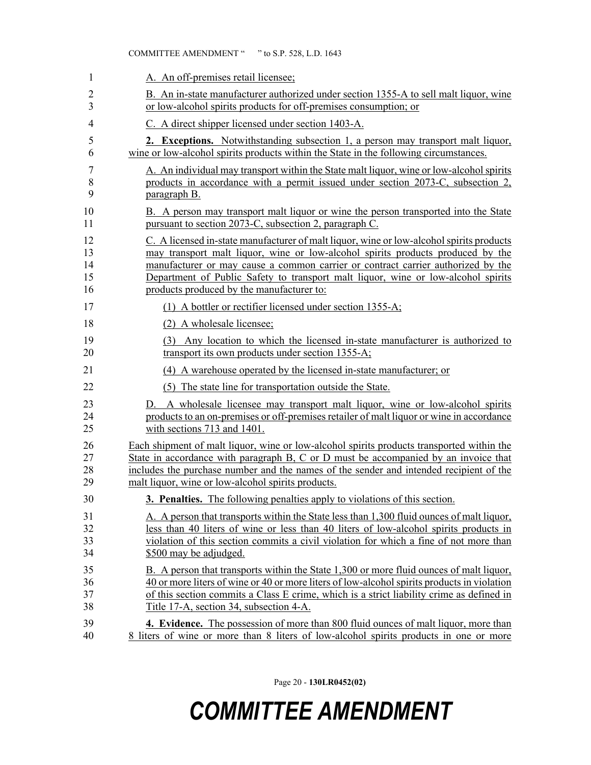| 1  | A. An off-premises retail licensee;                                                         |
|----|---------------------------------------------------------------------------------------------|
| 2  | B. An in-state manufacturer authorized under section 1355-A to sell malt liquor, wine       |
| 3  | or low-alcohol spirits products for off-premises consumption; or                            |
| 4  | C. A direct shipper licensed under section 1403-A.                                          |
| 5  | <b>2. Exceptions.</b> Notwithstanding subsection 1, a person may transport malt liquor,     |
| 6  | wine or low-alcohol spirits products within the State in the following circumstances.       |
| 7  | A. An individual may transport within the State malt liquor, wine or low-alcohol spirits    |
| 8  | products in accordance with a permit issued under section 2073-C, subsection 2,             |
| 9  | paragraph B.                                                                                |
| 10 | B. A person may transport malt liquor or wine the person transported into the State         |
| 11 | pursuant to section 2073-C, subsection 2, paragraph C.                                      |
| 12 | C. A licensed in-state manufacturer of malt liquor, wine or low-alcohol spirits products    |
| 13 | may transport malt liquor, wine or low-alcohol spirits products produced by the             |
| 14 | manufacturer or may cause a common carrier or contract carrier authorized by the            |
| 15 | Department of Public Safety to transport malt liquor, wine or low-alcohol spirits           |
| 16 | products produced by the manufacturer to:                                                   |
| 17 | (1) A bottler or rectifier licensed under section 1355-A;                                   |
| 18 | (2) A wholesale licensee;                                                                   |
| 19 | (3) Any location to which the licensed in-state manufacturer is authorized to               |
| 20 | transport its own products under section 1355-A;                                            |
| 21 | (4) A warehouse operated by the licensed in-state manufacturer; or                          |
| 22 | (5) The state line for transportation outside the State.                                    |
| 23 | D. A wholesale licensee may transport malt liquor, wine or low-alcohol spirits              |
| 24 | products to an on-premises or off-premises retailer of malt liquor or wine in accordance    |
| 25 | with sections 713 and 1401.                                                                 |
| 26 | Each shipment of malt liquor, wine or low-alcohol spirits products transported within the   |
| 27 | State in accordance with paragraph B, C or D must be accompanied by an invoice that         |
| 28 | includes the purchase number and the names of the sender and intended recipient of the      |
| 29 | malt liquor, wine or low-alcohol spirits products.                                          |
| 30 | 3. Penalties. The following penalties apply to violations of this section.                  |
| 31 | A. A person that transports within the State less than 1,300 fluid ounces of malt liquor,   |
| 32 | less than 40 liters of wine or less than 40 liters of low-alcohol spirits products in       |
| 33 | violation of this section commits a civil violation for which a fine of not more than       |
| 34 | \$500 may be adjudged.                                                                      |
| 35 | B. A person that transports within the State 1,300 or more fluid ounces of malt liquor,     |
| 36 | 40 or more liters of wine or 40 or more liters of low-alcohol spirits products in violation |
| 37 | of this section commits a Class E crime, which is a strict liability crime as defined in    |
| 38 | Title 17-A, section 34, subsection 4-A.                                                     |
| 39 | <b>4. Evidence.</b> The possession of more than 800 fluid ounces of malt liquor, more than  |
| 40 | 8 liters of wine or more than 8 liters of low-alcohol spirits products in one or more       |

COMMITTEE AMENDMENT " " to S.P. 528, L.D. 1643

Page 20 - **130LR0452(02)**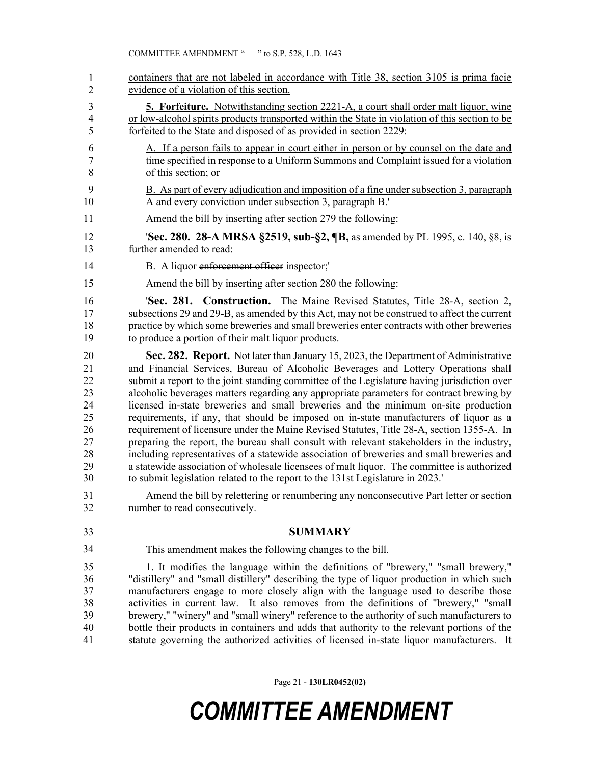41 containers that are not labeled in accordance with Title 38, section 3105 is prima facie evidence of a violation of this section. 3 **5. Forfeiture.** Notwithstanding section 2221-A, a court shall order malt liquor, wine 4 or low-alcohol spirits products transported within the State in violation of this section to be 5 forfeited to the State and disposed of as provided in section 2229: 6 A. If a person fails to appear in court either in person or by counsel on the date and 7 time specified in response to a Uniform Summons and Complaint issued for a violation 8 of this section; or 9 B. As part of every adjudication and imposition of a fine under subsection 3, paragraph 10 A and every conviction under subsection 3, paragraph B.' 11 Amend the bill by inserting after section 279 the following: 12 '**Sec. 280. 28-A MRSA §2519, sub-§2, ¶B,** as amended by PL 1995, c. 140, §8, is 13 further amended to read: 14 B. A liquor enforcement officer inspector; 15 Amend the bill by inserting after section 280 the following: 16 '**Sec. 281. Construction.** The Maine Revised Statutes, Title 28-A, section 2, 17 subsections 29 and 29-B, as amended by this Act, may not be construed to affect the current 18 practice by which some breweries and small breweries enter contracts with other breweries 19 to produce a portion of their malt liquor products. 20 **Sec. 282. Report.** Not later than January 15, 2023, the Department of Administrative 21 and Financial Services, Bureau of Alcoholic Beverages and Lottery Operations shall 22 submit a report to the joint standing committee of the Legislature having jurisdiction over 23 alcoholic beverages matters regarding any appropriate parameters for contract brewing by 24 licensed in-state breweries and small breweries and the minimum on-site production 25 requirements, if any, that should be imposed on in-state manufacturers of liquor as a 26 requirement of licensure under the Maine Revised Statutes, Title 28-A, section 1355-A. In 27 preparing the report, the bureau shall consult with relevant stakeholders in the industry, 28 including representatives of a statewide association of breweries and small breweries and 29 a statewide association of wholesale licensees of malt liquor. The committee is authorized 30 to submit legislation related to the report to the 131st Legislature in 2023.' 31 Amend the bill by relettering or renumbering any nonconsecutive Part letter or section 32 number to read consecutively. 33 **SUMMARY** This amendment makes the following changes to the bill. 35 1. It modifies the language within the definitions of "brewery," "small brewery," 36 "distillery" and "small distillery" describing the type of liquor production in which such 37 manufacturers engage to more closely align with the language used to describe those 38 activities in current law. It also removes from the definitions of "brewery," "small 39 brewery," "winery" and "small winery" reference to the authority of such manufacturers to 40 bottle their products in containers and adds that authority to the relevant portions of the 41 statute governing the authorized activities of licensed in-state liquor manufacturers. It 1 2 34

Page 21 - **130LR0452(02)**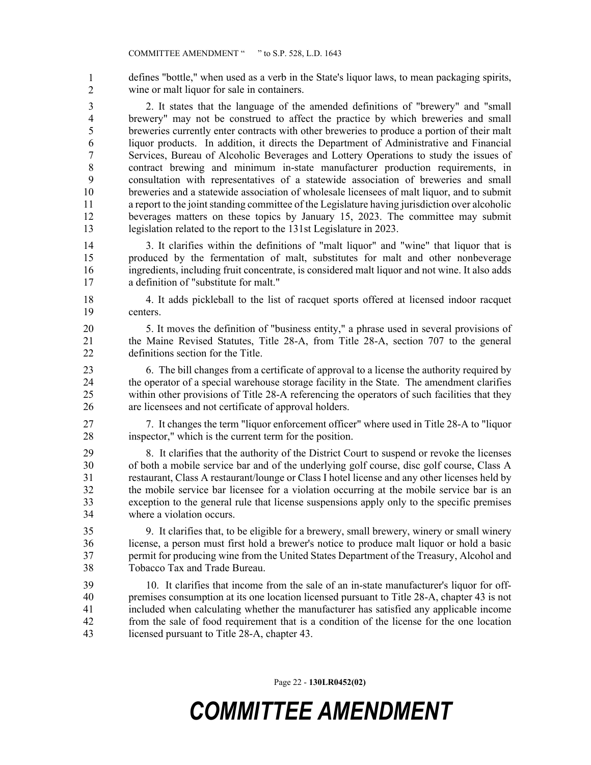defines "bottle," when used as a verb in the State's liquor laws, to mean packaging spirits, wine or malt liquor for sale in containers. 1 2

3 2. It states that the language of the amended definitions of "brewery" and "small 4 brewery" may not be construed to affect the practice by which breweries and small 5 breweries currently enter contracts with other breweries to produce a portion of their malt 6 liquor products. In addition, it directs the Department of Administrative and Financial 7 Services, Bureau of Alcoholic Beverages and Lottery Operations to study the issues of 8 contract brewing and minimum in-state manufacturer production requirements, in 9 consultation with representatives of a statewide association of breweries and small 10 breweries and a statewide association of wholesale licensees of malt liquor, and to submit 11 a report to the joint standing committee of the Legislature having jurisdiction over alcoholic 12 beverages matters on these topics by January 15, 2023. The committee may submit 13 legislation related to the report to the 131st Legislature in 2023.

14 3. It clarifies within the definitions of "malt liquor" and "wine" that liquor that is 15 produced by the fermentation of malt, substitutes for malt and other nonbeverage 16 ingredients, including fruit concentrate, is considered malt liquor and not wine. It also adds 17 a definition of "substitute for malt."

18 4. It adds pickleball to the list of racquet sports offered at licensed indoor racquet 19 centers.

20 5. It moves the definition of "business entity," a phrase used in several provisions of 21 the Maine Revised Statutes, Title 28-A, from Title 28-A, section 707 to the general 22 definitions section for the Title.

23 6. The bill changes from a certificate of approval to a license the authority required by 24 the operator of a special warehouse storage facility in the State. The amendment clarifies 25 within other provisions of Title 28-A referencing the operators of such facilities that they 26 are licensees and not certificate of approval holders.

27 7. It changes the term "liquor enforcement officer" where used in Title 28-A to "liquor 28 inspector," which is the current term for the position.

29 8. It clarifies that the authority of the District Court to suspend or revoke the licenses 30 of both a mobile service bar and of the underlying golf course, disc golf course, Class A 31 restaurant, Class A restaurant/lounge or Class I hotel license and any other licenses held by 32 the mobile service bar licensee for a violation occurring at the mobile service bar is an 33 exception to the general rule that license suspensions apply only to the specific premises 34 where a violation occurs.

35 9. It clarifies that, to be eligible for a brewery, small brewery, winery or small winery 36 license, a person must first hold a brewer's notice to produce malt liquor or hold a basic 37 permit for producing wine from the United States Department of the Treasury, Alcohol and 38 Tobacco Tax and Trade Bureau.

39 10. It clarifies that income from the sale of an in-state manufacturer's liquor for off-40 premises consumption at its one location licensed pursuant to Title 28-A, chapter 43 is not 41 included when calculating whether the manufacturer has satisfied any applicable income 42 from the sale of food requirement that is a condition of the license for the one location 43 licensed pursuant to Title 28-A, chapter 43.

Page 22 - **130LR0452(02)**